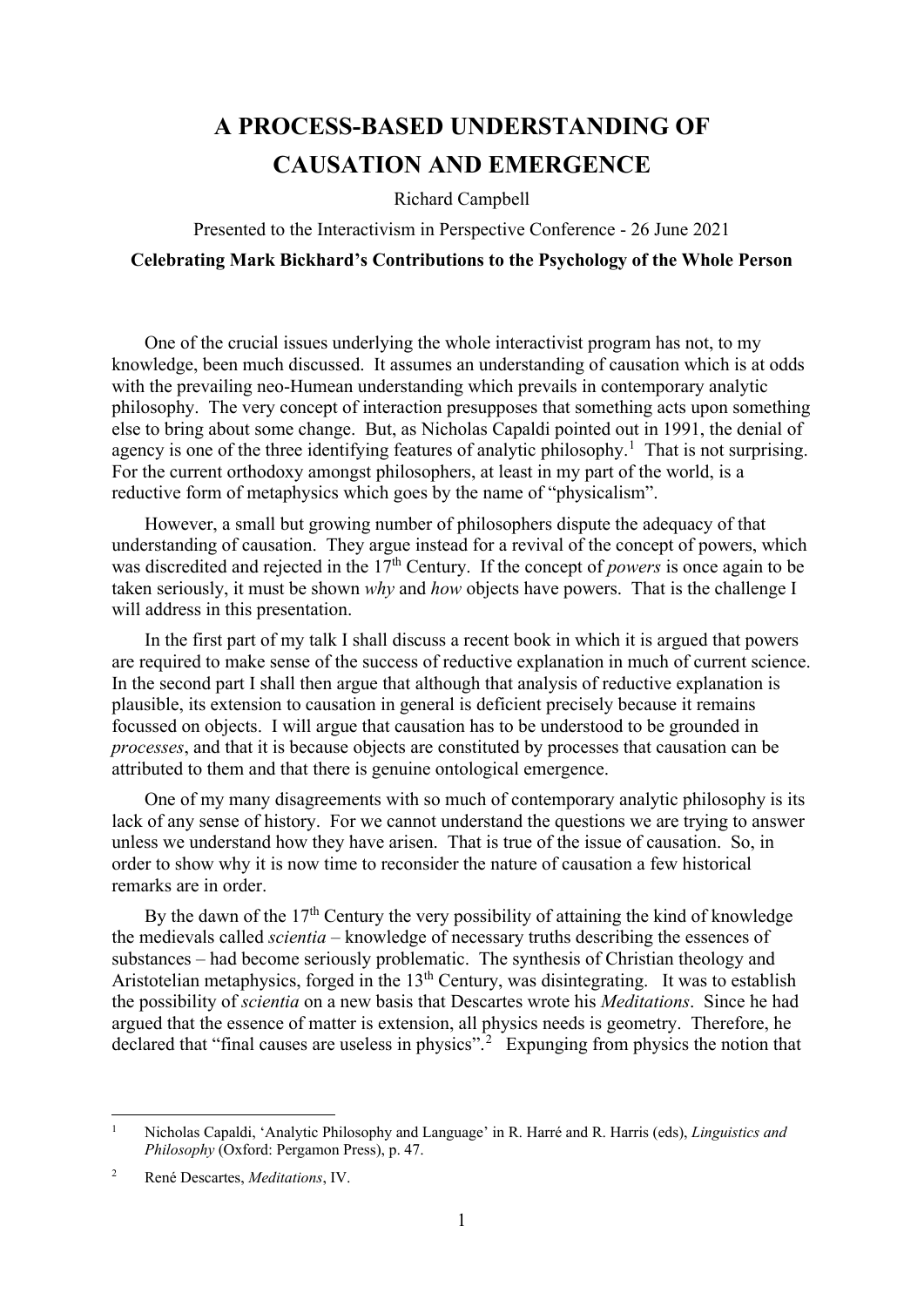## **A PROCESS-BASED UNDERSTANDING OF CAUSATION AND EMERGENCE**

Richard Campbell

Presented to the Interactivism in Perspective Conference - 26 June 2021

## **Celebrating Mark Bickhard's Contributions to the Psychology of the Whole Person**

One of the crucial issues underlying the whole interactivist program has not, to my knowledge, been much discussed. It assumes an understanding of causation which is at odds with the prevailing neo-Humean understanding which prevails in contemporary analytic philosophy. The very concept of interaction presupposes that something acts upon something else to bring about some change. But, as Nicholas Capaldi pointed out in 1991, the denial of agency is one of the three identifying features of analytic philosophy.<sup>[1](#page-0-0)</sup> That is not surprising. For the current orthodoxy amongst philosophers, at least in my part of the world, is a reductive form of metaphysics which goes by the name of "physicalism".

However, a small but growing number of philosophers dispute the adequacy of that understanding of causation. They argue instead for a revival of the concept of powers, which was discredited and rejected in the 17<sup>th</sup> Century. If the concept of *powers* is once again to be taken seriously, it must be shown *why* and *how* objects have powers. That is the challenge I will address in this presentation.

In the first part of my talk I shall discuss a recent book in which it is argued that powers are required to make sense of the success of reductive explanation in much of current science. In the second part I shall then argue that although that analysis of reductive explanation is plausible, its extension to causation in general is deficient precisely because it remains focussed on objects. I will argue that causation has to be understood to be grounded in *processes*, and that it is because objects are constituted by processes that causation can be attributed to them and that there is genuine ontological emergence.

One of my many disagreements with so much of contemporary analytic philosophy is its lack of any sense of history. For we cannot understand the questions we are trying to answer unless we understand how they have arisen. That is true of the issue of causation. So, in order to show why it is now time to reconsider the nature of causation a few historical remarks are in order.

By the dawn of the 17<sup>th</sup> Century the very possibility of attaining the kind of knowledge the medievals called *scientia –* knowledge of necessary truths describing the essences of substances – had become seriously problematic. The synthesis of Christian theology and Aristotelian metaphysics, forged in the  $13<sup>th</sup>$  Century, was disintegrating. It was to establish the possibility of *scientia* on a new basis that Descartes wrote his *Meditations*. Since he had argued that the essence of matter is extension, all physics needs is geometry. Therefore, he declared that "final causes are useless in physics".<sup>[2](#page-0-1)</sup> Expunging from physics the notion that

<span id="page-0-0"></span><sup>1</sup> Nicholas Capaldi, 'Analytic Philosophy and Language' in R. Harré and R. Harris (eds), *Linguistics and Philosophy* (Oxford: Pergamon Press), p. 47.

<span id="page-0-1"></span><sup>2</sup> René Descartes, *Meditations*, IV.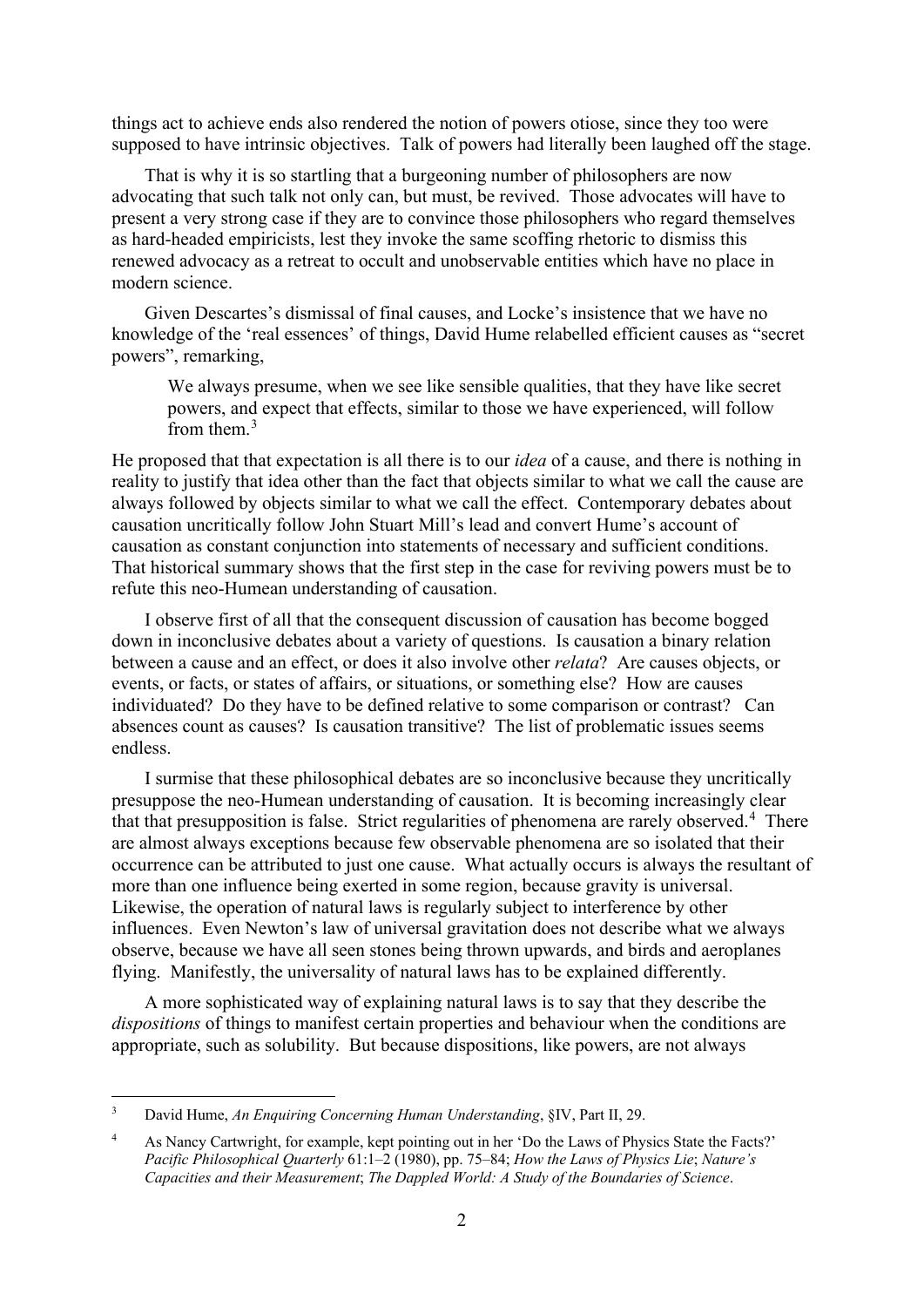things act to achieve ends also rendered the notion of powers otiose, since they too were supposed to have intrinsic objectives. Talk of powers had literally been laughed off the stage.

That is why it is so startling that a burgeoning number of philosophers are now advocating that such talk not only can, but must, be revived. Those advocates will have to present a very strong case if they are to convince those philosophers who regard themselves as hard-headed empiricists, lest they invoke the same scoffing rhetoric to dismiss this renewed advocacy as a retreat to occult and unobservable entities which have no place in modern science.

Given Descartes's dismissal of final causes, and Locke's insistence that we have no knowledge of the 'real essences' of things, David Hume relabelled efficient causes as "secret powers", remarking,

We always presume, when we see like sensible qualities, that they have like secret powers, and expect that effects, similar to those we have experienced, will follow from them  $3$ 

He proposed that that expectation is all there is to our *idea* of a cause, and there is nothing in reality to justify that idea other than the fact that objects similar to what we call the cause are always followed by objects similar to what we call the effect. Contemporary debates about causation uncritically follow John Stuart Mill's lead and convert Hume's account of causation as constant conjunction into statements of necessary and sufficient conditions. That historical summary shows that the first step in the case for reviving powers must be to refute this neo-Humean understanding of causation.

I observe first of all that the consequent discussion of causation has become bogged down in inconclusive debates about a variety of questions. Is causation a binary relation between a cause and an effect, or does it also involve other *relata*? Are causes objects, or events, or facts, or states of affairs, or situations, or something else? How are causes individuated? Do they have to be defined relative to some comparison or contrast? Can absences count as causes? Is causation transitive? The list of problematic issues seems endless.

I surmise that these philosophical debates are so inconclusive because they uncritically presuppose the neo-Humean understanding of causation. It is becoming increasingly clear that that presupposition is false. Strict regularities of phenomena are rarely observed.<sup>[4](#page-1-1)</sup> There are almost always exceptions because few observable phenomena are so isolated that their occurrence can be attributed to just one cause. What actually occurs is always the resultant of more than one influence being exerted in some region, because gravity is universal. Likewise, the operation of natural laws is regularly subject to interference by other influences. Even Newton's law of universal gravitation does not describe what we always observe, because we have all seen stones being thrown upwards, and birds and aeroplanes flying. Manifestly, the universality of natural laws has to be explained differently.

A more sophisticated way of explaining natural laws is to say that they describe the *dispositions* of things to manifest certain properties and behaviour when the conditions are appropriate, such as solubility. But because dispositions, like powers, are not always

<span id="page-1-0"></span><sup>3</sup> David Hume, *An Enquiring Concerning Human Understanding*, §IV, Part II, 29.

<span id="page-1-1"></span><sup>4</sup> As Nancy Cartwright, for example, kept pointing out in her 'Do the Laws of Physics State the Facts?' *Pacific Philosophical Quarterly* 61:1–2 (1980), pp. 75–84; *How the Laws of Physics Lie*; *Nature's Capacities and their Measurement*; *The Dappled World: A Study of the Boundaries of Science*.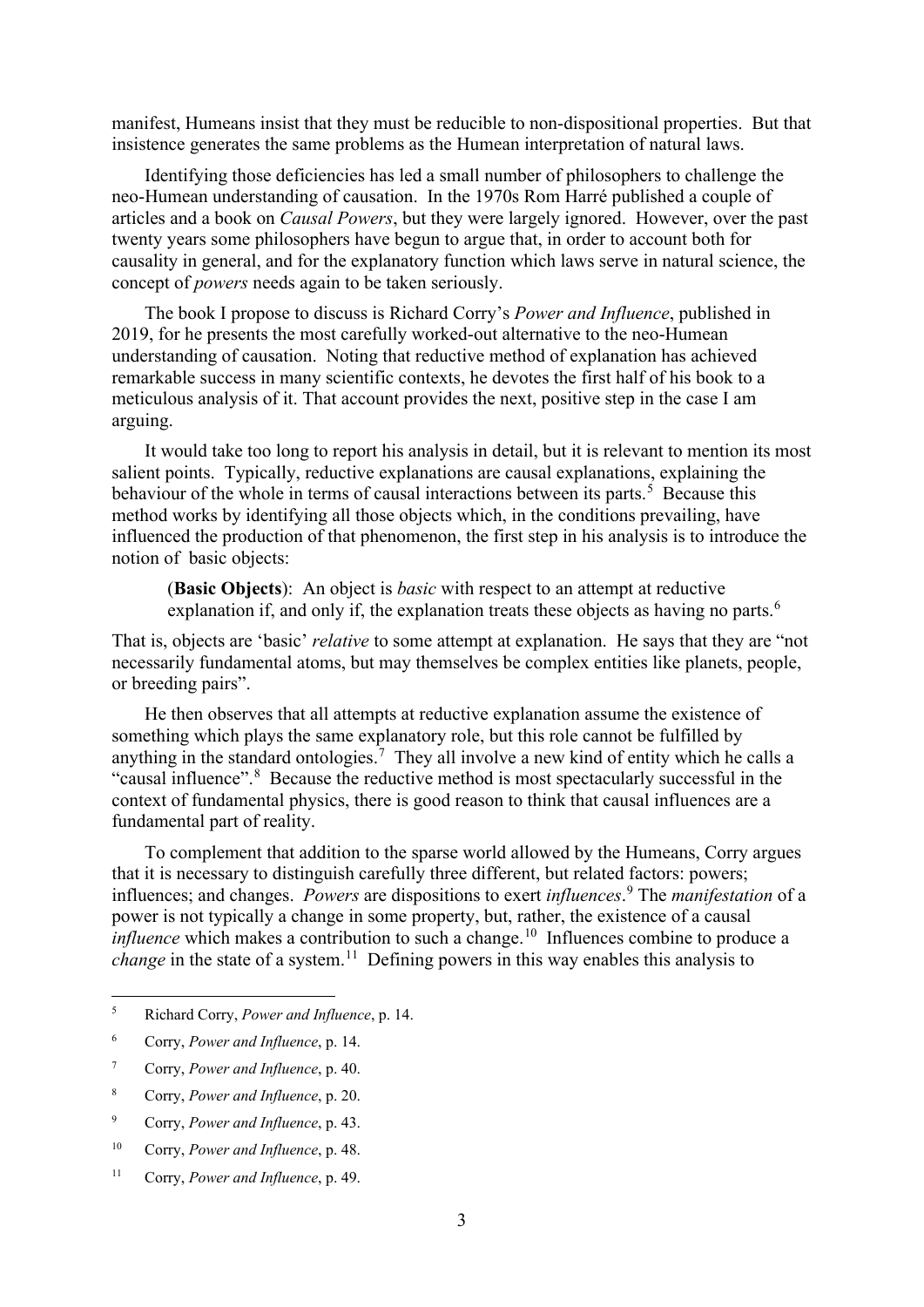manifest, Humeans insist that they must be reducible to non-dispositional properties. But that insistence generates the same problems as the Humean interpretation of natural laws.

Identifying those deficiencies has led a small number of philosophers to challenge the neo-Humean understanding of causation. In the 1970s Rom Harré published a couple of articles and a book on *Causal Powers*, but they were largely ignored. However, over the past twenty years some philosophers have begun to argue that, in order to account both for causality in general, and for the explanatory function which laws serve in natural science, the concept of *powers* needs again to be taken seriously.

The book I propose to discuss is Richard Corry's *Power and Influence*, published in 2019, for he presents the most carefully worked-out alternative to the neo-Humean understanding of causation. Noting that reductive method of explanation has achieved remarkable success in many scientific contexts, he devotes the first half of his book to a meticulous analysis of it. That account provides the next, positive step in the case I am arguing.

It would take too long to report his analysis in detail, but it is relevant to mention its most salient points. Typically, reductive explanations are causal explanations, explaining the behaviour of the whole in terms of causal interactions between its parts.<sup>[5](#page-2-0)</sup> Because this method works by identifying all those objects which, in the conditions prevailing, have influenced the production of that phenomenon, the first step in his analysis is to introduce the notion of basic objects:

(**Basic Objects**): An object is *basic* with respect to an attempt at reductive explanation if, and only if, the explanation treats these objects as having no parts.<sup>[6](#page-2-1)</sup>

That is, objects are 'basic' *relative* to some attempt at explanation. He says that they are "not necessarily fundamental atoms, but may themselves be complex entities like planets, people, or breeding pairs".

He then observes that all attempts at reductive explanation assume the existence of something which plays the same explanatory role, but this role cannot be fulfilled by anything in the standard ontologies.<sup>[7](#page-2-2)</sup> They all involve a new kind of entity which he calls a "causal influence".<sup>[8](#page-2-3)</sup> Because the reductive method is most spectacularly successful in the context of fundamental physics, there is good reason to think that causal influences are a fundamental part of reality.

To complement that addition to the sparse world allowed by the Humeans, Corry argues that it is necessary to distinguish carefully three different, but related factors: powers; influences; and changes. *Powers* are dispositions to exert *influences*. [9](#page-2-4) The *manifestation* of a power is not typically a change in some property, but, rather, the existence of a causal *influence* which makes a contribution to such a change.<sup>[10](#page-2-5)</sup> Influences combine to produce a *change* in the state of a system.<sup>[11](#page-2-6)</sup> Defining powers in this way enables this analysis to

<span id="page-2-0"></span><sup>5</sup> Richard Corry, *Power and Influence*, p. 14.

<span id="page-2-1"></span><sup>6</sup> Corry, *Power and Influence*, p. 14.

<span id="page-2-2"></span><sup>7</sup> Corry, *Power and Influence*, p. 40.

<span id="page-2-3"></span><sup>8</sup> Corry, *Power and Influence*, p. 20.

<span id="page-2-4"></span><sup>9</sup> Corry, *Power and Influence*, p. 43.

<span id="page-2-5"></span><sup>10</sup> Corry, *Power and Influence*, p. 48.

<span id="page-2-6"></span><sup>11</sup> Corry, *Power and Influence*, p. 49.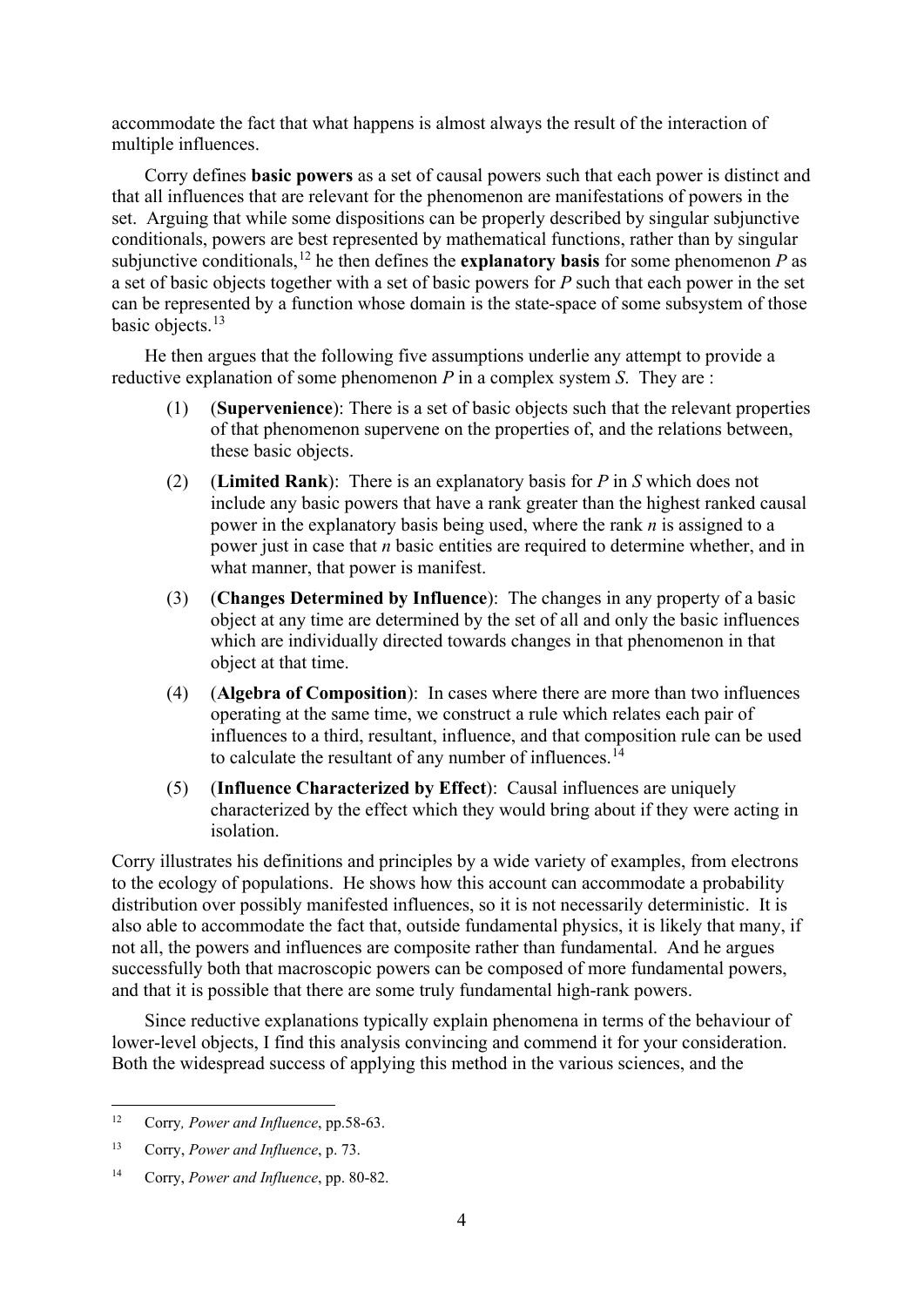accommodate the fact that what happens is almost always the result of the interaction of multiple influences.

Corry defines **basic powers** as a set of causal powers such that each power is distinct and that all influences that are relevant for the phenomenon are manifestations of powers in the set. Arguing that while some dispositions can be properly described by singular subjunctive conditionals, powers are best represented by mathematical functions, rather than by singular subjunctive conditionals,  $12$  he then defines the **explanatory basis** for some phenomenon *P* as a set of basic objects together with a set of basic powers for *P* such that each power in the set can be represented by a function whose domain is the state-space of some subsystem of those basic objects.<sup>[13](#page-3-1)</sup>

He then argues that the following five assumptions underlie any attempt to provide a reductive explanation of some phenomenon *P* in a complex system *S*. They are :

- (1) (**Supervenience**): There is a set of basic objects such that the relevant properties of that phenomenon supervene on the properties of, and the relations between, these basic objects.
- (2) (**Limited Rank**): There is an explanatory basis for *P* in *S* which does not include any basic powers that have a rank greater than the highest ranked causal power in the explanatory basis being used, where the rank *n* is assigned to a power just in case that *n* basic entities are required to determine whether, and in what manner, that power is manifest.
- (3) (**Changes Determined by Influence**): The changes in any property of a basic object at any time are determined by the set of all and only the basic influences which are individually directed towards changes in that phenomenon in that object at that time.
- (4) (**Algebra of Composition**): In cases where there are more than two influences operating at the same time, we construct a rule which relates each pair of influences to a third, resultant, influence, and that composition rule can be used to calculate the resultant of any number of influences.<sup> $14$ </sup>
- (5) (**Influence Characterized by Effect**): Causal influences are uniquely characterized by the effect which they would bring about if they were acting in isolation.

Corry illustrates his definitions and principles by a wide variety of examples, from electrons to the ecology of populations. He shows how this account can accommodate a probability distribution over possibly manifested influences, so it is not necessarily deterministic. It is also able to accommodate the fact that, outside fundamental physics, it is likely that many, if not all, the powers and influences are composite rather than fundamental. And he argues successfully both that macroscopic powers can be composed of more fundamental powers, and that it is possible that there are some truly fundamental high-rank powers.

Since reductive explanations typically explain phenomena in terms of the behaviour of lower-level objects, I find this analysis convincing and commend it for your consideration. Both the widespread success of applying this method in the various sciences, and the

<span id="page-3-0"></span><sup>12</sup> Corry*, Power and Influence*, pp.58-63.

<span id="page-3-1"></span><sup>13</sup> Corry, *Power and Influence*, p. 73.

<span id="page-3-2"></span><sup>14</sup> Corry, *Power and Influence*, pp. 80-82.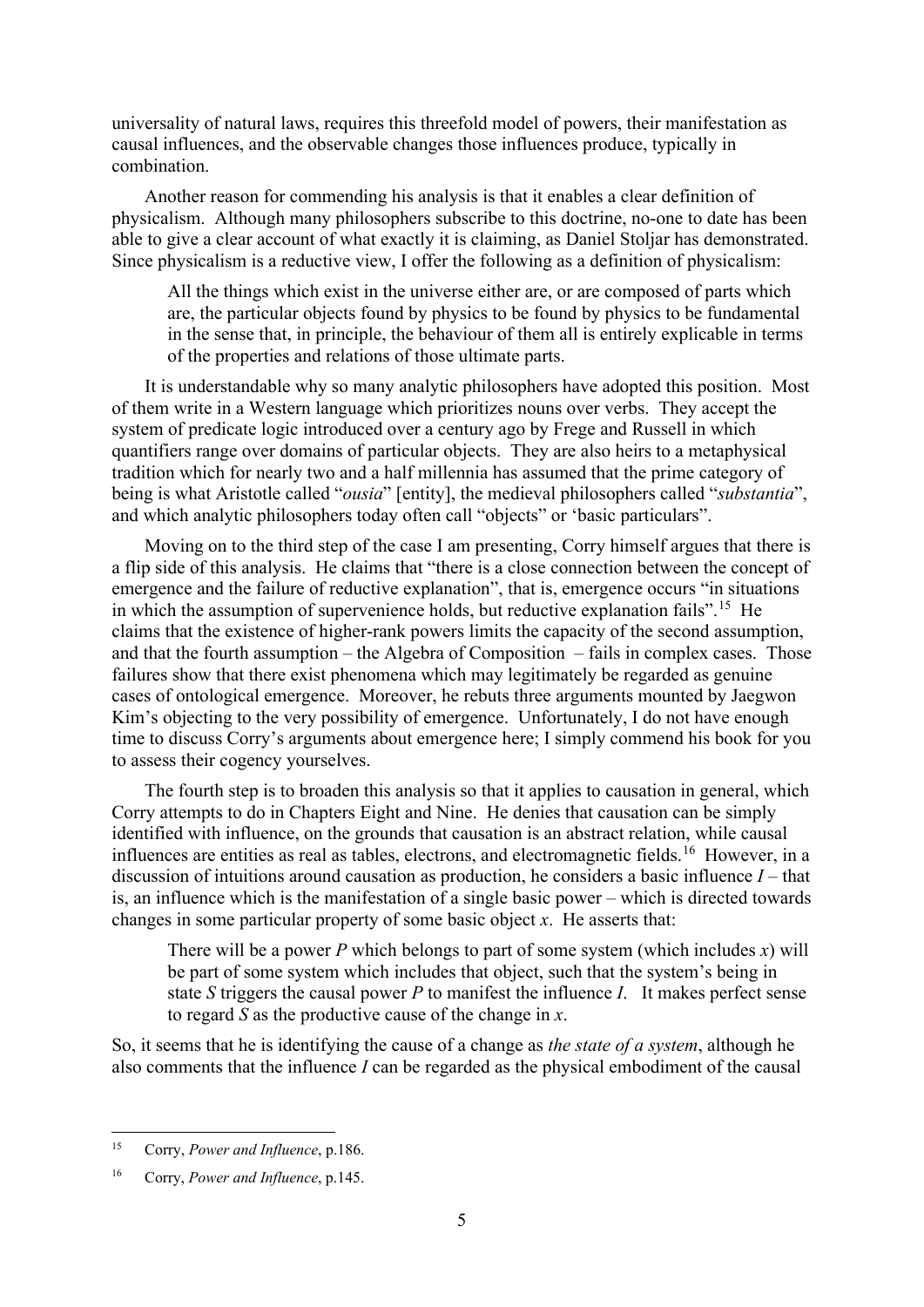universality of natural laws, requires this threefold model of powers, their manifestation as causal influences, and the observable changes those influences produce, typically in combination.

Another reason for commending his analysis is that it enables a clear definition of physicalism. Although many philosophers subscribe to this doctrine, no-one to date has been able to give a clear account of what exactly it is claiming, as Daniel Stoljar has demonstrated. Since physicalism is a reductive view, I offer the following as a definition of physicalism:

All the things which exist in the universe either are, or are composed of parts which are, the particular objects found by physics to be found by physics to be fundamental in the sense that, in principle, the behaviour of them all is entirely explicable in terms of the properties and relations of those ultimate parts.

It is understandable why so many analytic philosophers have adopted this position. Most of them write in a Western language which prioritizes nouns over verbs. They accept the system of predicate logic introduced over a century ago by Frege and Russell in which quantifiers range over domains of particular objects. They are also heirs to a metaphysical tradition which for nearly two and a half millennia has assumed that the prime category of being is what Aristotle called "*ousia*" [entity], the medieval philosophers called "*substantia*", and which analytic philosophers today often call "objects" or 'basic particulars".

Moving on to the third step of the case I am presenting, Corry himself argues that there is a flip side of this analysis. He claims that "there is a close connection between the concept of emergence and the failure of reductive explanation", that is, emergence occurs "in situations in which the assumption of supervenience holds, but reductive explanation fails".<sup>[15](#page-4-0)</sup> He claims that the existence of higher-rank powers limits the capacity of the second assumption, and that the fourth assumption – the Algebra of Composition – fails in complex cases. Those failures show that there exist phenomena which may legitimately be regarded as genuine cases of ontological emergence. Moreover, he rebuts three arguments mounted by Jaegwon Kim's objecting to the very possibility of emergence. Unfortunately, I do not have enough time to discuss Corry's arguments about emergence here; I simply commend his book for you to assess their cogency yourselves.

The fourth step is to broaden this analysis so that it applies to causation in general, which Corry attempts to do in Chapters Eight and Nine. He denies that causation can be simply identified with influence, on the grounds that causation is an abstract relation, while causal influences are entities as real as tables, electrons, and electromagnetic fields.<sup>[16](#page-4-1)</sup> However, in a discussion of intuitions around causation as production, he considers a basic influence *I* – that is, an influence which is the manifestation of a single basic power – which is directed towards changes in some particular property of some basic object *x*. He asserts that:

There will be a power *P* which belongs to part of some system (which includes *x*) will be part of some system which includes that object, such that the system's being in state *S* triggers the causal power *P* to manifest the influence *I*. It makes perfect sense to regard *S* as the productive cause of the change in *x*.

So, it seems that he is identifying the cause of a change as *the state of a system*, although he also comments that the influence *I* can be regarded as the physical embodiment of the causal

<span id="page-4-0"></span><sup>15</sup> Corry, *Power and Influence*, p.186.

<span id="page-4-1"></span><sup>16</sup> Corry, *Power and Influence*, p.145.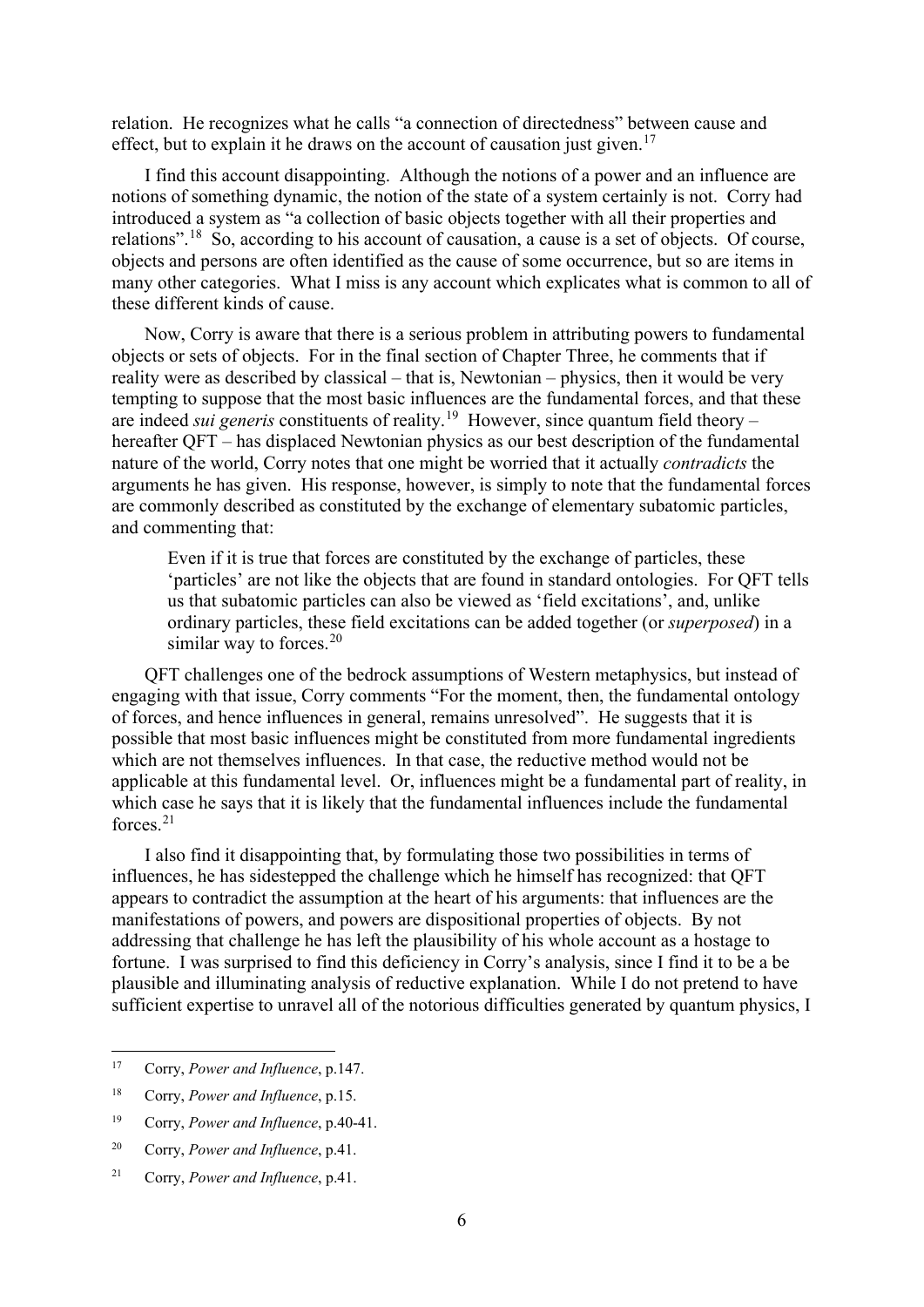relation. He recognizes what he calls "a connection of directedness" between cause and effect, but to explain it he draws on the account of causation just given.<sup>17</sup>

I find this account disappointing. Although the notions of a power and an influence are notions of something dynamic, the notion of the state of a system certainly is not. Corry had introduced a system as "a collection of basic objects together with all their properties and relations".[18](#page-5-1) So, according to his account of causation, a cause is a set of objects. Of course, objects and persons are often identified as the cause of some occurrence, but so are items in many other categories. What I miss is any account which explicates what is common to all of these different kinds of cause.

Now, Corry is aware that there is a serious problem in attributing powers to fundamental objects or sets of objects. For in the final section of Chapter Three, he comments that if reality were as described by classical – that is, Newtonian – physics, then it would be very tempting to suppose that the most basic influences are the fundamental forces, and that these are indeed *sui generis* constituents of reality.[19](#page-5-2) However, since quantum field theory – hereafter QFT – has displaced Newtonian physics as our best description of the fundamental nature of the world, Corry notes that one might be worried that it actually *contradicts* the arguments he has given. His response, however, is simply to note that the fundamental forces are commonly described as constituted by the exchange of elementary subatomic particles, and commenting that:

Even if it is true that forces are constituted by the exchange of particles, these 'particles' are not like the objects that are found in standard ontologies. For QFT tells us that subatomic particles can also be viewed as 'field excitations', and, unlike ordinary particles, these field excitations can be added together (or *superposed*) in a similar way to forces. $20$ 

QFT challenges one of the bedrock assumptions of Western metaphysics, but instead of engaging with that issue, Corry comments "For the moment, then, the fundamental ontology of forces, and hence influences in general, remains unresolved". He suggests that it is possible that most basic influences might be constituted from more fundamental ingredients which are not themselves influences. In that case, the reductive method would not be applicable at this fundamental level. Or, influences might be a fundamental part of reality, in which case he says that it is likely that the fundamental influences include the fundamental forces. $21$ 

I also find it disappointing that, by formulating those two possibilities in terms of influences, he has sidestepped the challenge which he himself has recognized: that QFT appears to contradict the assumption at the heart of his arguments: that influences are the manifestations of powers, and powers are dispositional properties of objects. By not addressing that challenge he has left the plausibility of his whole account as a hostage to fortune. I was surprised to find this deficiency in Corry's analysis, since I find it to be a be plausible and illuminating analysis of reductive explanation. While I do not pretend to have sufficient expertise to unravel all of the notorious difficulties generated by quantum physics, I

<span id="page-5-0"></span><sup>17</sup> Corry, *Power and Influence*, p.147.

<span id="page-5-1"></span><sup>18</sup> Corry, *Power and Influence*, p.15.

<span id="page-5-2"></span><sup>19</sup> Corry, *Power and Influence*, p.40-41.

<span id="page-5-3"></span><sup>20</sup> Corry, *Power and Influence*, p.41.

<span id="page-5-4"></span><sup>21</sup> Corry, *Power and Influence*, p.41.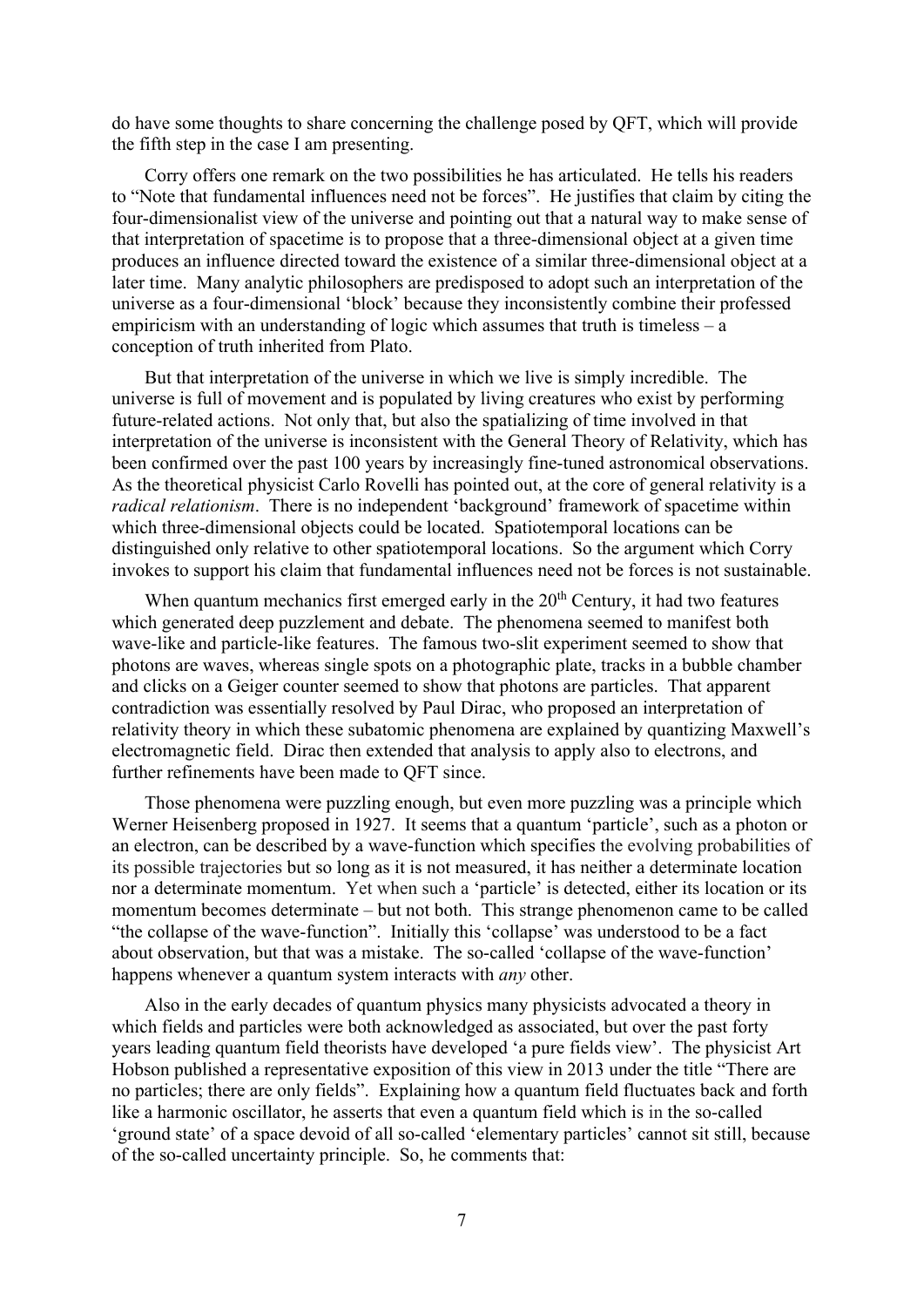do have some thoughts to share concerning the challenge posed by QFT, which will provide the fifth step in the case I am presenting.

Corry offers one remark on the two possibilities he has articulated. He tells his readers to "Note that fundamental influences need not be forces". He justifies that claim by citing the four-dimensionalist view of the universe and pointing out that a natural way to make sense of that interpretation of spacetime is to propose that a three-dimensional object at a given time produces an influence directed toward the existence of a similar three-dimensional object at a later time. Many analytic philosophers are predisposed to adopt such an interpretation of the universe as a four-dimensional 'block' because they inconsistently combine their professed empiricism with an understanding of logic which assumes that truth is timeless  $-$  a conception of truth inherited from Plato.

But that interpretation of the universe in which we live is simply incredible. The universe is full of movement and is populated by living creatures who exist by performing future-related actions. Not only that, but also the spatializing of time involved in that interpretation of the universe is inconsistent with the General Theory of Relativity, which has been confirmed over the past 100 years by increasingly fine-tuned astronomical observations. As the theoretical physicist Carlo Rovelli has pointed out, at the core of general relativity is a *radical relationism*. There is no independent 'background' framework of spacetime within which three-dimensional objects could be located. Spatiotemporal locations can be distinguished only relative to other spatiotemporal locations. So the argument which Corry invokes to support his claim that fundamental influences need not be forces is not sustainable.

When quantum mechanics first emerged early in the  $20<sup>th</sup>$  Century, it had two features which generated deep puzzlement and debate. The phenomena seemed to manifest both wave-like and particle-like features. The famous two-slit experiment seemed to show that photons are waves, whereas single spots on a photographic plate, tracks in a bubble chamber and clicks on a Geiger counter seemed to show that photons are particles. That apparent contradiction was essentially resolved by Paul Dirac, who proposed an interpretation of relativity theory in which these subatomic phenomena are explained by quantizing Maxwell's electromagnetic field. Dirac then extended that analysis to apply also to electrons, and further refinements have been made to QFT since.

Those phenomena were puzzling enough, but even more puzzling was a principle which Werner Heisenberg proposed in 1927. It seems that a quantum 'particle', such as a photon or an electron, can be described by a wave-function which specifies the evolving probabilities of its possible trajectories but so long as it is not measured, it has neither a determinate location nor a determinate momentum. Yet when such a 'particle' is detected, either its location or its momentum becomes determinate – but not both. This strange phenomenon came to be called "the collapse of the wave-function". Initially this 'collapse' was understood to be a fact about observation, but that was a mistake. The so-called 'collapse of the wave-function' happens whenever a quantum system interacts with *any* other.

Also in the early decades of quantum physics many physicists advocated a theory in which fields and particles were both acknowledged as associated, but over the past forty years leading quantum field theorists have developed 'a pure fields view'. The physicist Art Hobson published a representative exposition of this view in 2013 under the title "There are no particles; there are only fields". Explaining how a quantum field fluctuates back and forth like a harmonic oscillator, he asserts that even a quantum field which is in the so-called 'ground state' of a space devoid of all so-called 'elementary particles' cannot sit still, because of the so-called uncertainty principle. So, he comments that: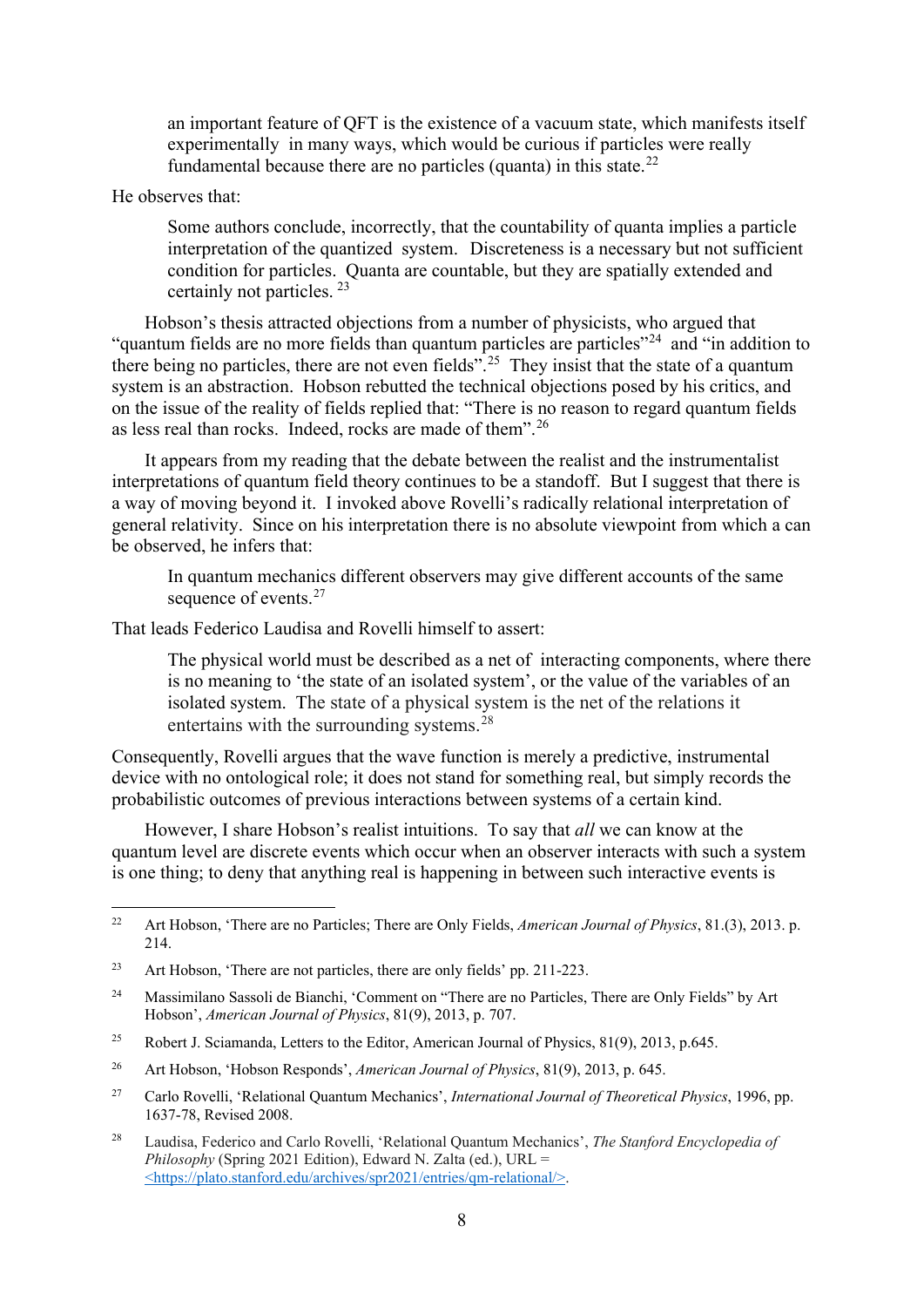an important feature of QFT is the existence of a vacuum state, which manifests itself experimentally in many ways, which would be curious if particles were really fundamental because there are no particles (quanta) in this state.<sup>[22](#page-7-0)</sup>

He observes that:

Some authors conclude, incorrectly, that the countability of quanta implies a particle interpretation of the quantized system. Discreteness is a necessary but not sufficient condition for particles. Quanta are countable, but they are spatially extended and certainly not particles. [23](#page-7-1)

Hobson's thesis attracted objections from a number of physicists, who argued that "quantum fields are no more fields than quantum particles are particles"<sup>[24](#page-7-2)</sup> and "in addition to" there being no particles, there are not even fields".<sup>[25](#page-7-3)</sup> They insist that the state of a quantum system is an abstraction. Hobson rebutted the technical objections posed by his critics, and on the issue of the reality of fields replied that: "There is no reason to regard quantum fields as less real than rocks. Indeed, rocks are made of them".[26](#page-7-4) 

It appears from my reading that the debate between the realist and the instrumentalist interpretations of quantum field theory continues to be a standoff. But I suggest that there is a way of moving beyond it. I invoked above Rovelli's radically relational interpretation of general relativity. Since on his interpretation there is no absolute viewpoint from which a can be observed, he infers that:

In quantum mechanics different observers may give different accounts of the same sequence of events.<sup>[27](#page-7-5)</sup>

That leads Federico Laudisa and Rovelli himself to assert:

The physical world must be described as a net of interacting components, where there is no meaning to 'the state of an isolated system', or the value of the variables of an isolated system. The state of a physical system is the net of the relations it entertains with the surrounding systems.<sup>[28](#page-7-6)</sup>

Consequently, Rovelli argues that the wave function is merely a predictive, instrumental device with no ontological role; it does not stand for something real, but simply records the probabilistic outcomes of previous interactions between systems of a certain kind.

However, I share Hobson's realist intuitions. To say that *all* we can know at the quantum level are discrete events which occur when an observer interacts with such a system is one thing; to deny that anything real is happening in between such interactive events is

<span id="page-7-0"></span><sup>22</sup> Art Hobson, 'There are no Particles; There are Only Fields, *American Journal of Physics*, 81.(3), 2013. p. 214.

<span id="page-7-1"></span><sup>&</sup>lt;sup>23</sup> Art Hobson, 'There are not particles, there are only fields' pp. 211-223.

<span id="page-7-2"></span><sup>&</sup>lt;sup>24</sup> Massimilano Sassoli de Bianchi, 'Comment on "There are no Particles, There are Only Fields" by Art Hobson', *American Journal of Physics*, 81(9), 2013, p. 707.

<span id="page-7-3"></span><sup>&</sup>lt;sup>25</sup> Robert J. Sciamanda, Letters to the Editor, American Journal of Physics, 81(9), 2013, p.645.

<span id="page-7-4"></span><sup>26</sup> Art Hobson, 'Hobson Responds', *American Journal of Physics*, 81(9), 2013, p. 645.

<span id="page-7-5"></span><sup>27</sup> Carlo Rovelli, 'Relational Quantum Mechanics', *International Journal of Theoretical Physics*, 1996, pp. 1637-78, Revised 2008.

<span id="page-7-6"></span><sup>28</sup> Laudisa, Federico and Carlo Rovelli, 'Relational Quantum Mechanics', *The Stanford Encyclopedia of Philosophy* (Spring 2021 Edition), Edward N. Zalta (ed.), URL = [<https://plato.stanford.edu/archives/spr2021/entries/qm-relational/>.](https://plato.stanford.edu/archives/spr2021/entries/qm-relational/)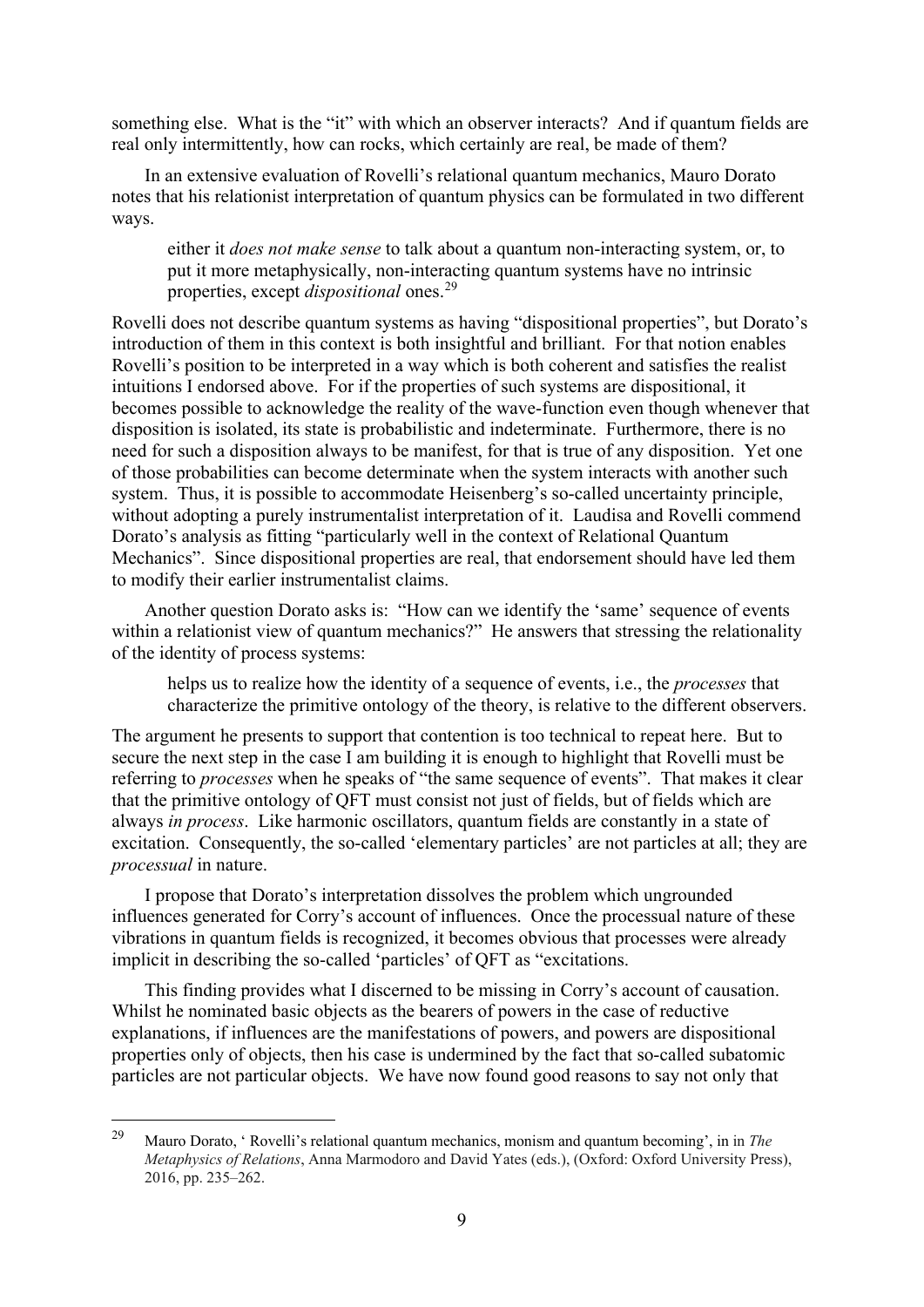something else. What is the "it" with which an observer interacts? And if quantum fields are real only intermittently, how can rocks, which certainly are real, be made of them?

In an extensive evaluation of Rovelli's relational quantum mechanics, Mauro Dorato notes that his relationist interpretation of quantum physics can be formulated in two different ways.

either it *does not make sense* to talk about a quantum non-interacting system, or, to put it more metaphysically, non-interacting quantum systems have no intrinsic properties, except *dispositional* ones.[29](#page-8-0)

Rovelli does not describe quantum systems as having "dispositional properties", but Dorato's introduction of them in this context is both insightful and brilliant. For that notion enables Rovelli's position to be interpreted in a way which is both coherent and satisfies the realist intuitions I endorsed above. For if the properties of such systems are dispositional, it becomes possible to acknowledge the reality of the wave-function even though whenever that disposition is isolated, its state is probabilistic and indeterminate. Furthermore, there is no need for such a disposition always to be manifest, for that is true of any disposition. Yet one of those probabilities can become determinate when the system interacts with another such system. Thus, it is possible to accommodate Heisenberg's so-called uncertainty principle, without adopting a purely instrumentalist interpretation of it. Laudisa and Rovelli commend Dorato's analysis as fitting "particularly well in the context of Relational Quantum Mechanics". Since dispositional properties are real, that endorsement should have led them to modify their earlier instrumentalist claims.

Another question Dorato asks is: "How can we identify the 'same' sequence of events within a relationist view of quantum mechanics?" He answers that stressing the relationality of the identity of process systems:

helps us to realize how the identity of a sequence of events, i.e., the *processes* that characterize the primitive ontology of the theory, is relative to the different observers.

The argument he presents to support that contention is too technical to repeat here. But to secure the next step in the case I am building it is enough to highlight that Rovelli must be referring to *processes* when he speaks of "the same sequence of events". That makes it clear that the primitive ontology of QFT must consist not just of fields, but of fields which are always *in process*. Like harmonic oscillators, quantum fields are constantly in a state of excitation. Consequently, the so-called 'elementary particles' are not particles at all; they are *processual* in nature.

I propose that Dorato's interpretation dissolves the problem which ungrounded influences generated for Corry's account of influences. Once the processual nature of these vibrations in quantum fields is recognized, it becomes obvious that processes were already implicit in describing the so-called 'particles' of QFT as "excitations.

This finding provides what I discerned to be missing in Corry's account of causation. Whilst he nominated basic objects as the bearers of powers in the case of reductive explanations, if influences are the manifestations of powers, and powers are dispositional properties only of objects, then his case is undermined by the fact that so-called subatomic particles are not particular objects. We have now found good reasons to say not only that

<span id="page-8-0"></span><sup>29</sup> Mauro Dorato, ' Rovelli's relational quantum mechanics, monism and quantum becoming', in in *The Metaphysics of Relations*, Anna Marmodoro and David Yates (eds.), (Oxford: Oxford University Press), 2016, pp. 235–262.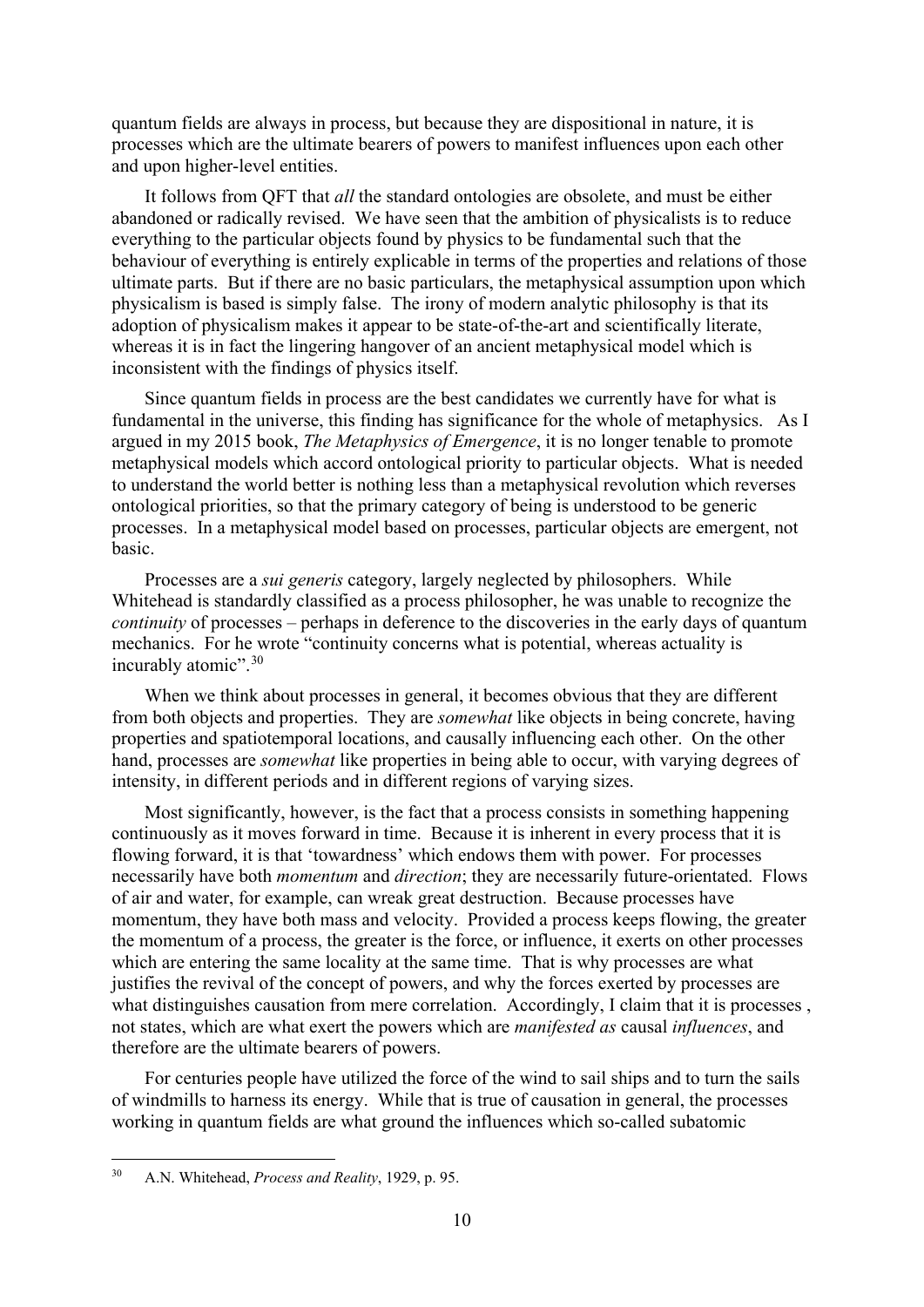quantum fields are always in process, but because they are dispositional in nature, it is processes which are the ultimate bearers of powers to manifest influences upon each other and upon higher-level entities.

It follows from QFT that *all* the standard ontologies are obsolete, and must be either abandoned or radically revised. We have seen that the ambition of physicalists is to reduce everything to the particular objects found by physics to be fundamental such that the behaviour of everything is entirely explicable in terms of the properties and relations of those ultimate parts. But if there are no basic particulars, the metaphysical assumption upon which physicalism is based is simply false. The irony of modern analytic philosophy is that its adoption of physicalism makes it appear to be state-of-the-art and scientifically literate, whereas it is in fact the lingering hangover of an ancient metaphysical model which is inconsistent with the findings of physics itself.

Since quantum fields in process are the best candidates we currently have for what is fundamental in the universe, this finding has significance for the whole of metaphysics. As I argued in my 2015 book, *The Metaphysics of Emergence*, it is no longer tenable to promote metaphysical models which accord ontological priority to particular objects. What is needed to understand the world better is nothing less than a metaphysical revolution which reverses ontological priorities, so that the primary category of being is understood to be generic processes. In a metaphysical model based on processes, particular objects are emergent, not basic.

Processes are a *sui generis* category, largely neglected by philosophers. While Whitehead is standardly classified as a process philosopher, he was unable to recognize the *continuity* of processes – perhaps in deference to the discoveries in the early days of quantum mechanics. For he wrote "continuity concerns what is potential, whereas actuality is incurably atomic".<sup>[30](#page-9-0)</sup>

When we think about processes in general, it becomes obvious that they are different from both objects and properties. They are *somewhat* like objects in being concrete, having properties and spatiotemporal locations, and causally influencing each other. On the other hand, processes are *somewhat* like properties in being able to occur, with varying degrees of intensity, in different periods and in different regions of varying sizes.

Most significantly, however, is the fact that a process consists in something happening continuously as it moves forward in time. Because it is inherent in every process that it is flowing forward, it is that 'towardness' which endows them with power. For processes necessarily have both *momentum* and *direction*; they are necessarily future-orientated. Flows of air and water, for example, can wreak great destruction. Because processes have momentum, they have both mass and velocity. Provided a process keeps flowing, the greater the momentum of a process, the greater is the force, or influence, it exerts on other processes which are entering the same locality at the same time. That is why processes are what justifies the revival of the concept of powers, and why the forces exerted by processes are what distinguishes causation from mere correlation. Accordingly, I claim that it is processes , not states, which are what exert the powers which are *manifested as* causal *influences*, and therefore are the ultimate bearers of powers.

For centuries people have utilized the force of the wind to sail ships and to turn the sails of windmills to harness its energy. While that is true of causation in general, the processes working in quantum fields are what ground the influences which so-called subatomic

<span id="page-9-0"></span><sup>30</sup> A.N. Whitehead, *Process and Reality*, 1929, p. 95.